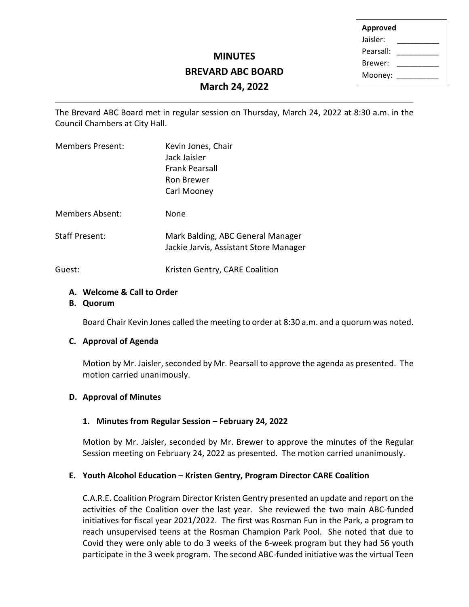| <b>Approved</b> |  |  |
|-----------------|--|--|
| Jaisler:        |  |  |
| Pearsall:       |  |  |
| Brewer:         |  |  |
| Mooney:         |  |  |
|                 |  |  |

# **MINUTES BREVARD ABC BOARD March 24, 2022**

The Brevard ABC Board met in regular session on Thursday, March 24, 2022 at 8:30 a.m. in the Council Chambers at City Hall.

| <b>Members Present:</b> | Kevin Jones, Chair<br>Jack Jaisler<br><b>Frank Pearsall</b><br>Ron Brewer<br>Carl Mooney |
|-------------------------|------------------------------------------------------------------------------------------|
| <b>Members Absent:</b>  | None                                                                                     |
| <b>Staff Present:</b>   | Mark Balding, ABC General Manager<br>Jackie Jarvis, Assistant Store Manager              |
|                         |                                                                                          |

Guest: **Kristen Gentry, CARE Coalition** 

## **A. Welcome & Call to Order**

**B. Quorum**

Board Chair Kevin Jones called the meeting to order at 8:30 a.m. and a quorum was noted.

## **C. Approval of Agenda**

Motion by Mr. Jaisler, seconded by Mr. Pearsall to approve the agenda as presented. The motion carried unanimously.

## **D. Approval of Minutes**

## **1. Minutes from Regular Session – February 24, 2022**

Motion by Mr. Jaisler, seconded by Mr. Brewer to approve the minutes of the Regular Session meeting on February 24, 2022 as presented. The motion carried unanimously.

## **E. Youth Alcohol Education – Kristen Gentry, Program Director CARE Coalition**

C.A.R.E. Coalition Program Director Kristen Gentry presented an update and report on the activities of the Coalition over the last year. She reviewed the two main ABC-funded initiatives for fiscal year 2021/2022. The first was Rosman Fun in the Park, a program to reach unsupervised teens at the Rosman Champion Park Pool. She noted that due to Covid they were only able to do 3 weeks of the 6-week program but they had 56 youth participate in the 3 week program. The second ABC-funded initiative was the virtual Teen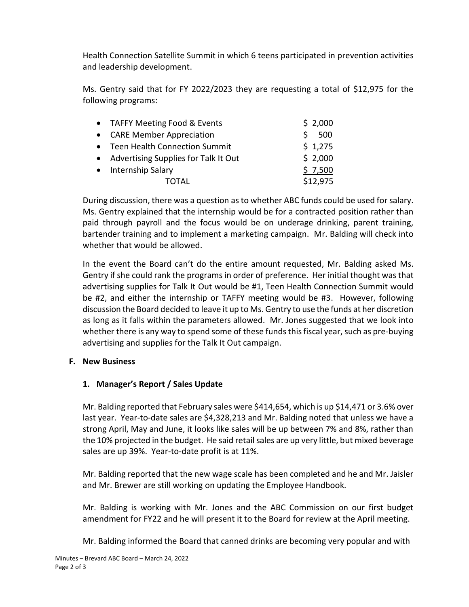Health Connection Satellite Summit in which 6 teens participated in prevention activities and leadership development.

Ms. Gentry said that for FY 2022/2023 they are requesting a total of \$12,975 for the following programs:

| • TAFFY Meeting Food & Events          | \$2,000  |
|----------------------------------------|----------|
| • CARE Member Appreciation             | 500      |
| • Teen Health Connection Summit        | \$1,275  |
| • Advertising Supplies for Talk It Out | \$2,000  |
| • Internship Salary                    | \$7,500  |
| ΤΩΤΑΙ                                  | \$12,975 |

During discussion, there was a question as to whether ABC funds could be used for salary. Ms. Gentry explained that the internship would be for a contracted position rather than paid through payroll and the focus would be on underage drinking, parent training, bartender training and to implement a marketing campaign. Mr. Balding will check into whether that would be allowed.

In the event the Board can't do the entire amount requested, Mr. Balding asked Ms. Gentry if she could rank the programs in order of preference. Her initial thought was that advertising supplies for Talk It Out would be #1, Teen Health Connection Summit would be #2, and either the internship or TAFFY meeting would be #3. However, following discussion the Board decided to leave it up to Ms. Gentry to use the funds at her discretion as long as it falls within the parameters allowed. Mr. Jones suggested that we look into whether there is any way to spend some of these funds this fiscal year, such as pre-buying advertising and supplies for the Talk It Out campaign.

## **F. New Business**

# **1. Manager's Report / Sales Update**

Mr. Balding reported that February sales were \$414,654, which is up \$14,471 or 3.6% over last year. Year-to-date sales are \$4,328,213 and Mr. Balding noted that unless we have a strong April, May and June, it looks like sales will be up between 7% and 8%, rather than the 10% projected in the budget. He said retail sales are up very little, but mixed beverage sales are up 39%. Year-to-date profit is at 11%.

Mr. Balding reported that the new wage scale has been completed and he and Mr. Jaisler and Mr. Brewer are still working on updating the Employee Handbook.

Mr. Balding is working with Mr. Jones and the ABC Commission on our first budget amendment for FY22 and he will present it to the Board for review at the April meeting.

Mr. Balding informed the Board that canned drinks are becoming very popular and with